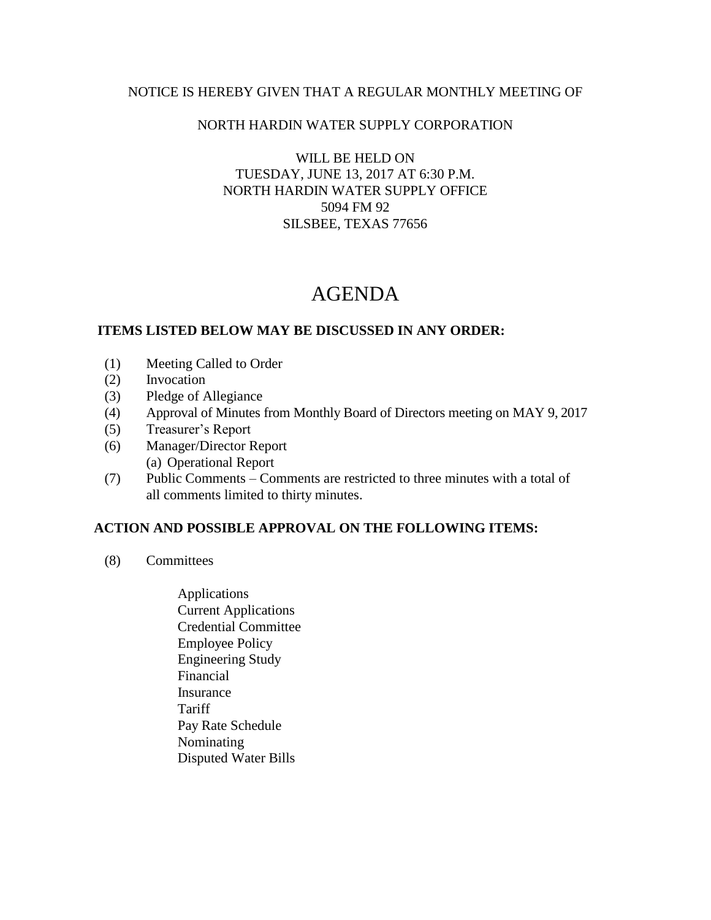## NOTICE IS HEREBY GIVEN THAT A REGULAR MONTHLY MEETING OF

## NORTH HARDIN WATER SUPPLY CORPORATION

WILL BE HELD ON TUESDAY, JUNE 13, 2017 AT 6:30 P.M. NORTH HARDIN WATER SUPPLY OFFICE 5094 FM 92 SILSBEE, TEXAS 77656

# AGENDA

#### **ITEMS LISTED BELOW MAY BE DISCUSSED IN ANY ORDER:**

- (1) Meeting Called to Order
- (2) Invocation
- (3) Pledge of Allegiance
- (4) Approval of Minutes from Monthly Board of Directors meeting on MAY 9, 2017
- (5) Treasurer's Report
- (6) Manager/Director Report (a) Operational Report
- (7) Public Comments Comments are restricted to three minutes with a total of all comments limited to thirty minutes.

## **ACTION AND POSSIBLE APPROVAL ON THE FOLLOWING ITEMS:**

- (8) Committees
	- Applications Current Applications Credential Committee Employee Policy Engineering Study Financial Insurance **Tariff**  Pay Rate Schedule Nominating Disputed Water Bills